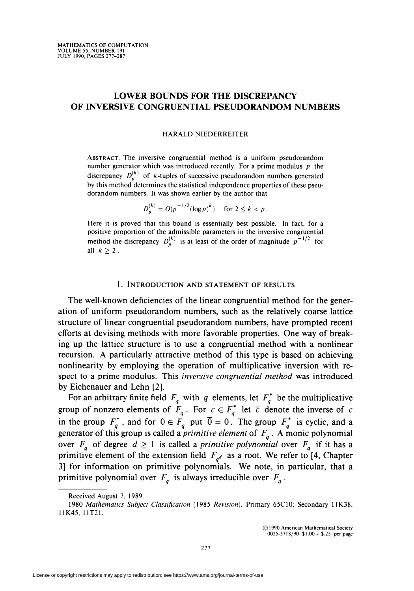# LOWER BOUNDS FOR THE DISCREPANCY OF INVERSIVE CONGRUENTIAL PSEUDORANDOM NUMBERS

#### HARALD NIEDERREITER

Abstract. The inversive congruential method is a uniform pseudorandom number generator which was introduced recently. For a prime modulus  $p$  the discrepancy  $D_n^{(k)}$  of k-tuples of successive pseudorandom numbers generated by this method determines the statistical independence properties of these pseudorandom numbers. It was shown earlier by the author that

$$
D_p^{(k)} = O(p^{-1/2} (\log p)^k) \quad \text{for } 2 \le k < p \, .
$$

Here it is proved that this bound is essentially best possible. In fact, for a positive proportion of the admissible parameters in the inversive congruential method the discrepancy  $D_p^{(k)}$  is at least of the order of magnitude  $p^{-1/2}$  for all  $k > 2$ .

## 1. INTRODUCTION AND STATEMENT OF RESULTS

The well-known deficiencies of the linear congruential method for the generation of uniform pseudorandom numbers, such as the relatively coarse lattice structure of linear congruential pseudorandom numbers, have prompted recent efforts at devising methods with more favorable properties. One way of breaking up the lattice structure is to use a congruential method with a nonlinear recursion. A particularly attractive method of this type is based on achieving nonlinearity by employing the operation of multiplicative inversion with respect to a prime modulus. This *inversive congruential method* was introduced by Eichenauer and Lehn [2].

For an arbitrary finite field  $F_a$  with q elements, let  $F_a^*$  be the multiplicativ group of nonzero elements of  $F_a$ . For  $c \in F_a^*$  let  $\bar{c}$  denote the inverse of c in the group  $F_a^*$ , and for  $0 \in F_a$  put  $0 = 0$ . The group  $F_a^*$  is cyclic, and a generator of this group is called a *primitive element* of  $F_a$ . A monic polynomia over  $F_a$  of degree  $d \geq 1$  is called a *primitive polynomial* over  $F_a$  if it has a primitive element of the extension field  $F_{q^d}$  as a root. We refer to [4, Chapter 3] for information on primitive polynomials. We note, in particular, that a primitive polynomial over  $F_a$  is always irreducible over  $F_a$ .

Received August 7, 1989.

<sup>1980</sup> Mathematics Subject Classification (1985 Revision). Primary 65C10; Secondary 11K38, 11K45, 11T21.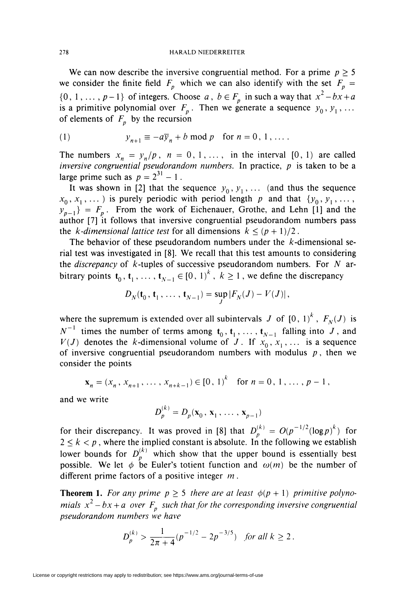We can now describe the inversive congruential method. For a prime  $p \geq 5$ we consider the finite field  $F_p$  which we can also identify with the set  $F_p =$  $\{0, 1, \ldots, p-1\}$  of integers. Choose a,  $b \in F_p$  in such a way that  $x^2 - bx + a$ is a primitive polynomial over  $F_p$ . Then we generate a sequence  $y_0, y_1, ...$ of elements of  $F<sub>n</sub>$  by the recursion

(1) 
$$
y_{n+1} \equiv -a\overline{y}_n + b \mod p \text{ for } n = 0, 1, ...
$$

The numbers  $x_n = y_n/p$ ,  $n = 0, 1, \ldots$ , in the interval [0, 1) are called inversive congruential pseudorandom numbers. In practice,  $p$  is taken to be a large prime such as  $p = 2^{31} - 1$ .

It was shown in [2] that the sequence  $y_0, y_1, \ldots$  (and thus the sequence  $x_0, x_1, \ldots$ ) is purely periodic with period length p and that  $\{y_0, y_1, \ldots, y_n\}$  $y_{n-1}$  =  $F_n$ . From the work of Eichenauer, Grothe, and Lehn [1] and the author [7] it follows that inversive congruential pseudorandom numbers pass the k-dimensional lattice test for all dimensions  $k \leq (p+1)/2$ .

The behavior of these pseudorandom numbers under the  $k$ -dimensional serial test was investigated in [8]. We recall that this test amounts to considering the *discrepancy* of  $k$ -tuples of successive pseudorandom numbers. For  $N$  arbitrary points  $t_0, t_1, \ldots, t_{N-1} \in [0, 1)^k$ ,  $k \ge 1$ , we define the discrepancy

$$
D_N(\mathbf{t}_0, \mathbf{t}_1, \ldots, \mathbf{t}_{N-1}) = \sup_J |F_N(J) - V(J)|,
$$

where the supremum is extended over all subintervals J of  $[0, 1)^k$ ,  $F_N(J)$  is  $N^{-1}$  times the number of terms among  $t_0, t_1, \ldots, t_{N-1}$  falling into J, and  $V(J)$  denotes the *k*-dimensional volume of J. If  $x_0, x_1, \ldots$  is a sequence of inversive congruential pseudorandom numbers with modulus  $p$ , then we consider the points

$$
\mathbf{x}_{n} = (x_{n}, x_{n+1}, \dots, x_{n+k-1}) \in [0, 1)^{k} \text{ for } n = 0, 1, \dots, p-1,
$$

and we write

$$
D_p^{(k)} = D_p(\mathbf{x}_0, \mathbf{x}_1, \dots, \mathbf{x}_{p-1})
$$

for their discrepancy. It was proved in [8] that  $D_n^{(k)} = O(p^{-1/2} (\log p)^k)$  for  $2 \leq k < p$ , where the implied constant is absolute. In the following we establish lower bounds for  $D_n^{(n)}$  which show that the upper bound is essentially best possible. We let  $\phi$  be Euler's totient function and  $\omega(m)$  be the number of different prime factors of a positive integer  $m$ .

**Theorem 1.** For any prime  $p \ge 5$  there are at least  $\phi(p + 1)$  primitive polynomials  $x^2 - bx + a$  over  $F_p$  such that for the corresponding inversive congruential pseudorandom numbers we have

$$
D_p^{(k)} > \frac{1}{2\pi + 4} (p^{-1/2} - 2p^{-3/5}) \quad \text{for all } k \ge 2 \,.
$$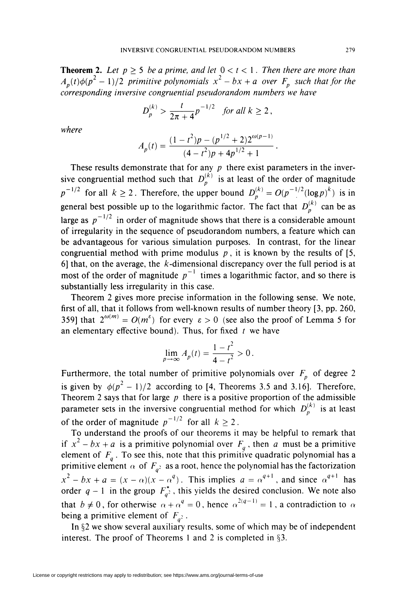**Theorem 2.** Let  $p > 5$  be a prime, and let  $0 < t < 1$ . Then there are more than  $A_p(t)\phi(p^2-1)/2$  primitive polynomials  $x^2-bx+a$  over  $F_p$  such that for the corresponding inversive congruential pseudorandom numbers we have

$$
D_p^{(k)} > \frac{t}{2\pi + 4} p^{-1/2} \quad \text{for all } k \ge 2 \,,
$$

where

$$
A_p(t) = \frac{(1 - t^2)p - (p^{1/2} + 2)2^{\omega(p-1)}}{(4 - t^2)p + 4p^{1/2} + 1}
$$

These results demonstrate that for any  $p$  there exist parameters in the inversive congruential method such that  $D_p^{(k)}$  is at least of the order of magnitude  $p^{-1/2}$  for all  $k \ge 2$ . Therefore, the upper bound  $D_p^{(k)} = O(p^{-1/2} (\log p)^k)$  is in general best possible up to the logarithmic factor. The fact that  $D_p^{(k)}$  can be as large as  $p^{-1/2}$  in order of magnitude shows that there is a considerable amount of irregularity in the sequence of pseudorandom numbers, a feature which can be advantageous for various simulation purposes. In contrast, for the linear congruential method with prime modulus  $p$ , it is known by the results of [5, 6] that, on the average, the  $k$ -dimensional discrepancy over the full period is at most of the order of magnitude  $p^{-1}$  times a logarithmic factor, and so there is substantially less irregularity in this case.

Theorem 2 gives more precise information in the following sense. We note, first of all, that it follows from well-known results of number theory [3, pp. 260, 359] that  $2^{\omega(m)} = O(m^{\epsilon})$  for every  $\epsilon > 0$  (see also the proof of Lemma 5 for an elementary effective bound). Thus, for fixed  $t$  we have

$$
\lim_{p \to \infty} A_p(t) = \frac{1 - t^2}{4 - t^2} > 0.
$$

Furthermore, the total number of primitive polynomials over  $F_n$  of degree 2 is given by  $\phi(p^2 - 1)/2$  according to [4, Theorems 3.5 and 3.16]. Therefore, Theorem 2 says that for large  $p$  there is a positive proportion of the admissible parameter sets in the inversive congruential method for which  $D_p^{(k)}$  is at least of the order of magnitude  $p^{-1/2}$  for all  $k \ge 2$ .

To understand the proofs of our theorems it may be helpful to remark that if  $x^2 - bx + a$  is a primitive polynomial over  $F_a$ , then a must be a primitive element of  $F_a$ . To see this, note that this primitive quadratic polynomial has a primitive element  $\alpha$  of  $F_{a^2}$  as a root, hence the polynomial has the factorizatio  $x^2 - bx + a = (x - \alpha)(x - \alpha^4)$ . This implies  $a = \alpha^{4+1}$ , and since  $\alpha^{4+1}$  has order  $q-1$  in the group  $F_{q^2}$ , this yields the desired conclusion. We note also that  $b \neq 0$ , for otherwise  $\alpha + \alpha^{q} = 0$ , hence  $\alpha^{2(q-1)} = 1$ , a contradiction to  $\alpha$ being a primitive element of  $F_{a^2}$ .

In §2 we show several auxiliary results, some of which may be of independent interest. The proof of Theorems 1 and 2 is completed in §3.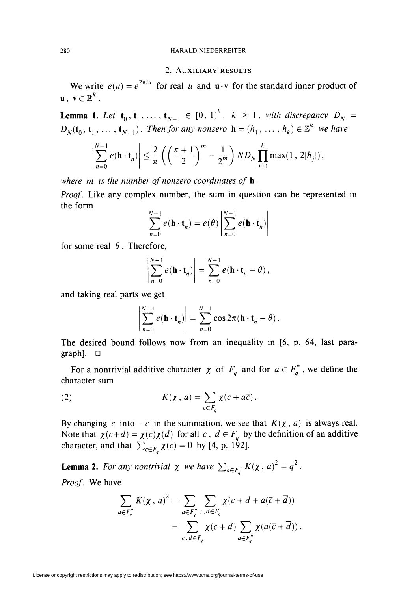### 280 HARALD NIEDERREITER

## 2. Auxiliary results

We write  $e(u) = e^{2\pi i u}$  for real u and  $u \cdot v$  for the standard inner product of **u**,  $\mathbf{v} \in \mathbb{R}^k$ .

**Lemma 1.** Let  $\mathbf{t}_0, \mathbf{t}_1, \ldots, \mathbf{t}_{N-1} \in [0, 1)^k$ ,  $k \geq 1$ , with discrepancy  $D_N =$  $D_N(\mathbf{t}_0, \mathbf{t}_1, \ldots, \mathbf{t}_{N-1})$ . Then for any nonzero  $\mathbf{h} = (h_1, \ldots, h_k) \in \mathbb{Z}^k$  we have

$$
\left|\sum_{n=0}^{N-1} e(\mathbf{h} \cdot \mathbf{t}_n)\right| \leq \frac{2}{\pi} \left(\left(\frac{\pi+1}{2}\right)^m - \frac{1}{2^m}\right) ND_N \prod_{j=1}^k \max(1, 2|h_j|),
$$

where  $m$  is the number of nonzero coordinates of  $h$ .

Proof. Like any complex number, the sum in question can be represented in the form

$$
\sum_{n=0}^{N-1} e(\mathbf{h} \cdot \mathbf{t}_n) = e(\theta) \left| \sum_{n=0}^{N-1} e(\mathbf{h} \cdot \mathbf{t}_n) \right|
$$

for some real  $\theta$ . Therefore,

$$
\left|\sum_{n=0}^{N-1} e(\mathbf{h} \cdot \mathbf{t}_n)\right| = \sum_{n=0}^{N-1} e(\mathbf{h} \cdot \mathbf{t}_n - \theta),
$$

and taking real parts we get

$$
\left|\sum_{n=0}^{N-1} e(\mathbf{h} \cdot \mathbf{t}_n)\right| = \sum_{n=0}^{N-1} \cos 2\pi (\mathbf{h} \cdot \mathbf{t}_n - \theta).
$$

The desired bound follows now from an inequality in [6, p. 64, last paragraph], D

For a nontrivial additive character  $\chi$  of  $F_a$  and for  $a \in F_a^*$ , we define the character sum

(2) 
$$
K(\chi, a) = \sum_{c \in F_q} \chi(c + a\overline{c}).
$$

By changing c into  $-c$  in the summation, we see that  $K(\chi, a)$  is always real. Note that  $\chi(c+d) = \chi(c)\chi(d)$  for all  $c, d \in F_q$  by the definition of an additive character, and that  $\sum_{c \in F} \chi(c) = 0$  by [4, p. 192].

**Lemma 2.** For any nontrivial  $\chi$  we have  $\sum_{a \in F^*} K(\chi, a)^2 = q^2$ 

Proof. We have

$$
\sum_{a \in F_q^+} K(\chi, a)^2 = \sum_{a \in F_q^+} \sum_{c, d \in F_q} \chi(c + d + a(\overline{c} + \overline{d}))
$$

$$
= \sum_{c, d \in F_q} \chi(c + d) \sum_{a \in F_q^+} \chi(a(\overline{c} + \overline{d})).
$$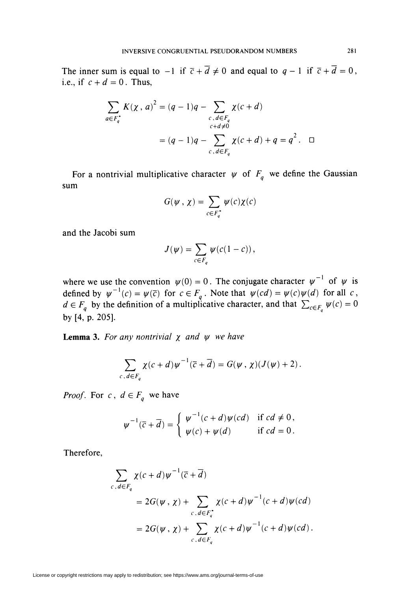The inner sum is equal to  $-1$  if  $\overline{c} + \overline{d} \neq 0$  and equal to  $q-1$  if  $\overline{c} + \overline{d} = 0$ , i.e., if  $c + d = 0$ . Thus,

$$
\sum_{a \in F_q^+} K(\chi, a)^2 = (q - 1)q - \sum_{\substack{c, d \in F_q \\ c + d \neq 0}} \chi(c + d)
$$

$$
= (q - 1)q - \sum_{c, d \in F_q} \chi(c + d) + q = q^2. \quad \Box
$$

For a nontrivial multiplicative character  $\psi$  of  $F_q$  we define the Gaussian sum

$$
G(\psi, \chi) = \sum_{c \in F_q^*} \psi(c) \chi(c)
$$

and the Jacobi sum

$$
J(\psi) = \sum_{c \in F_q} \psi(c(1-c)),
$$

where we use the convention  $\psi(0) = 0$ . The conjugate character  $\psi^{-1}$  of  $\psi$  is defined by  $\psi^{-1}(c) = \psi(\overline{c})$  for  $c \in F_q$ . Note that  $\psi(cd) = \psi(c)\psi(d)$  for all c  $d \in F_{q}$  by the definition of a multiplicative character, and that  $\sum_{c \in F} \psi(c) = 0$ by [4, p. 205].

**Lemma 3.** For any nontrivial  $\chi$  and  $\psi$  we have

$$
\sum_{c,d\in F_q}\chi(c+d)\psi^{-1}(\overline{c}+\overline{d})=G(\psi\,,\,\chi)(J(\psi)+2)\,.
$$

*Proof.* For  $c, d \in F_q$  we have

$$
\psi^{-1}(\overline{c}+\overline{d})=\begin{cases}\psi^{-1}(c+d)\psi(cd) & \text{if } cd \neq 0, \\ \psi(c)+\psi(d) & \text{if } cd=0.\end{cases}
$$

Therefore,

$$
\sum_{c,d \in F_q} \chi(c+d)\psi^{-1}(\overline{c}+\overline{d})
$$
\n
$$
= 2G(\psi, \chi) + \sum_{c,d \in F_q^*} \chi(c+d)\psi^{-1}(c+d)\psi(cd)
$$
\n
$$
= 2G(\psi, \chi) + \sum_{c,d \in F_q} \chi(c+d)\psi^{-1}(c+d)\psi(cd).
$$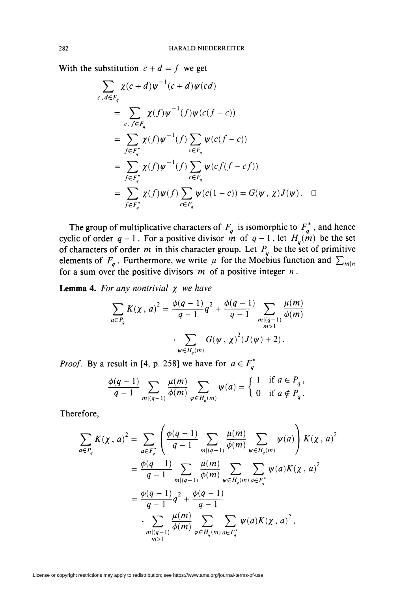With the substitution  $c + d = f$  we get

$$
\sum_{c,d \in F_q} \chi(c+d)\psi^{-1}(c+d)\psi(cd)
$$
\n
$$
= \sum_{c,f \in F_q} \chi(f)\psi^{-1}(f)\psi(c(f-c))
$$
\n
$$
= \sum_{f \in F_q^*} \chi(f)\psi^{-1}(f) \sum_{c \in F_q} \psi(c(f-c))
$$
\n
$$
= \sum_{f \in F_q^*} \chi(f)\psi^{-1}(f) \sum_{c \in F_q} \psi(c f(f-c f))
$$
\n
$$
= \sum_{f \in F_q^*} \chi(f)\psi(f) \sum_{c \in F_q} \psi(c(1-c)) = G(\psi, \chi)J(\psi). \quad \Box
$$

The group of multiplicative characters of  $F_a$  is isomorphic to  $F_a^*$ , and hence cyclic of order  $q-1$ . For a positive divisor m of  $q-1$ , let  $H_q(m)$  be the set of characters of order m in this character group. Let  $P_a$  be the set of primitive elements of  $F_a$ . Furthermore, we write  $\mu$  for the Moebius function and  $\sum_{m|n}$ for a sum over the positive divisors  $m$  of a positive integer  $n$ .

**Lemma 4.** For any nontrivial  $\chi$  we have

$$
\sum_{a \in P_q} K(\chi, a)^2 = \frac{\phi(q-1)}{q-1} q^2 + \frac{\phi(q-1)}{q-1} \sum_{\substack{m|(q-1) \\ m>1}} \frac{\mu(m)}{\phi(m)}
$$

$$
\cdot \sum_{\psi \in H_q(m)} G(\psi, \chi)^2 (J(\psi) + 2).
$$

*Proof.* By a result in [4, p. 258] we have for  $a \in F_q^*$ 

$$
\frac{\phi(q-1)}{q-1} \sum_{m|(q-1)} \frac{\mu(m)}{\phi(m)} \sum_{\psi \in H_q(m)} \psi(a) = \begin{cases} 1 & \text{if } a \in P_q, \\ 0 & \text{if } a \notin P_q. \end{cases}
$$

Therefore,

$$
\sum_{a \in P_q} K(\chi, a)^2 = \sum_{a \in F_q^+} \left( \frac{\phi(q-1)}{q-1} \sum_{m|(q-1)} \frac{\mu(m)}{\phi(m)} \sum_{\psi \in H_q(m)} \psi(a) \right) K(\chi, a)^2
$$
  
=  $\frac{\phi(q-1)}{q-1} \sum_{m|(q-1)} \frac{\mu(m)}{\phi(m)} \sum_{\psi \in H_q(m)} \sum_{a \in F_q^+} \psi(a) K(\chi, a)^2$   
=  $\frac{\phi(q-1)}{q-1} q^2 + \frac{\phi(q-1)}{q-1}$   
 $\cdot \sum_{\substack{m|(q-1) \\ m>1}} \frac{\mu(m)}{\phi(m)} \sum_{\psi \in H_q(m)} \sum_{a \in F_q^+} \psi(a) K(\chi, a)^2,$ 

License or copyright restrictions may apply to redistribution; see https://www.ams.org/journal-terms-of-use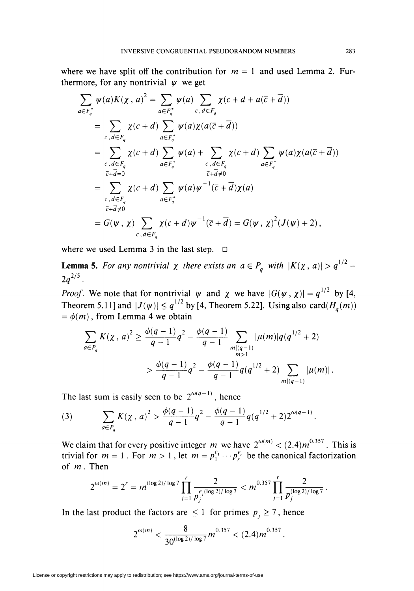where we have split off the contribution for  $m = 1$  and used Lemma 2. Furthermore, for any nontrivial  $\psi$  we get

$$
\sum_{a \in F_q^+} \psi(a)K(\chi, a)^2 = \sum_{a \in F_q^+} \psi(a) \sum_{c, d \in F_q} \chi(c + d + a(\overline{c} + \overline{d}))
$$
\n
$$
= \sum_{c, d \in F_q} \chi(c + d) \sum_{a \in F_q^+} \psi(a) \chi(a(\overline{c} + \overline{d}))
$$
\n
$$
= \sum_{c, d \in F_q} \chi(c + d) \sum_{a \in F_q^+} \psi(a) + \sum_{c, d \in F_q} \chi(c + d) \sum_{a \in F_q^+} \psi(a) \chi(a(\overline{c} + \overline{d}))
$$
\n
$$
= \sum_{\substack{c, d \in F_q \\ c + \overline{d} \neq 0}} \chi(c + d) \sum_{a \in F_q^+} \psi(a) \psi^{-1}(\overline{c} + \overline{d}) \chi(a)
$$
\n
$$
= G(\psi, \chi) \sum_{c, d \in F_q} \chi(c + d) \psi^{-1}(\overline{c} + \overline{d}) = G(\psi, \chi)^2 (J(\psi) + 2),
$$

where we used Lemma 3 in the last step.  $\Box$ 

**Lemma 5.** For any nontrivial  $\chi$  there exists an  $a \in P_a$  with  $\vert K(\chi, a) \vert > q^{1/2} 2q^{2/5}$ .

*Proof.* We note that for nontrivial  $\psi$  and  $\chi$  we have  $|G(\psi, \chi)| = q^{1/2}$  by [4, Theorem 5.11] and  $|J(\psi)| \leq q^{1/2}$  by [4, Theorem 5.22]. Using also card( $H_q(m)$ )  $= \phi(m)$ , from Lemma 4 we obtain

$$
\sum_{a \in P_q} K(\chi, a)^2 \ge \frac{\phi(q-1)}{q-1} q^2 - \frac{\phi(q-1)}{q-1} \sum_{\substack{m|(q-1) \\ m>1}} |\mu(m)| q(q^{1/2} + 2)
$$
  
> 
$$
\frac{\phi(q-1)}{q-1} q^2 - \frac{\phi(q-1)}{q-1} q(q^{1/2} + 2) \sum_{m|(q-1)} |\mu(m)|.
$$

The last sum is easily seen to be  $2^{\omega(q-1)}$ , hence

(3) 
$$
\sum_{a \in P_q} K(\chi, a)^2 > \frac{\phi(q-1)}{q-1}q^2 - \frac{\phi(q-1)}{q-1}q(q^{1/2}+2)2^{\omega(q-1)}.
$$

We claim that for every positive integer m we have  $2^{\omega(m)} < (2.4) m^{0.557}$ . This is trivial for  $m = 1$ . For  $m > 1$ , let  $m = p_1^{e_1} \cdots p_r^{e_r}$  be the canonical factorization of  $m$ . Then

$$
2^{\omega(m)} = 2^r = m^{(\log 2)/\log 7} \prod_{j=1}^r \frac{2}{p_j^{e_j(\log 2)/\log 7}} < m^{0.357} \prod_{j=1}^r \frac{2}{p_j^{(\log 2)/\log 7}}.
$$

In the last product the factors are  $\leq 1$  for primes  $p_i \geq 7$ , hence

$$
2^{\omega(m)} < \frac{8}{30^{(\log 2)/\log 7}} m^{0.357} < (2.4) m^{0.357}
$$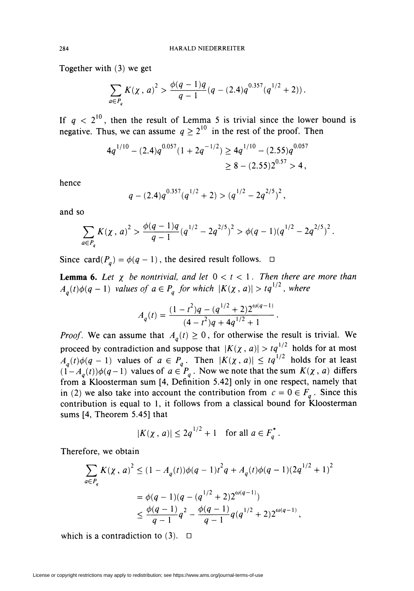Together with (3) we get

$$
\sum_{a \in P_q} K(\chi, a)^2 > \frac{\phi(q-1)q}{q-1}(q - (2.4)q^{0.357}(q^{1/2} + 2)).
$$

If  $q < 2<sup>10</sup>$ , then the result of Lemma 5 is trivial since the lower bound is negative. Thus, we can assume  $q \geq 2^{10}$  in the rest of the proof. Then

$$
4q^{1/10} - (2.4)q^{0.057}(1 + 2q^{-1/2}) \ge 4q^{1/10} - (2.55)q^{0.057}
$$
  
\n
$$
\ge 8 - (2.55)2^{0.57} > 4,
$$

hence

$$
q - (2.4)q^{0.357}(q^{1/2} + 2) > (q^{1/2} - 2q^{2/5})^2,
$$

and so

$$
\sum_{a \in P_q} K(\chi, a)^2 > \frac{\phi(q-1)q}{q-1} (q^{1/2} - 2q^{2/5})^2 > \phi(q-1)(q^{1/2} - 2q^{2/5})^2.
$$

Since card( $P_q$ ) =  $\phi(q - 1)$ , the desired result follows.  $\Box$ 

**Lemma 6.** Let  $\chi$  be nontrivial, and let  $0 < t < 1$ . Then there are more than  $A_q(t)\phi(q-1)$  values of  $a \in P_q$  for which  $\vert K(\chi, a)\vert > tq^{1/2}$ , where

$$
A_q(t) = \frac{(1-t^2)q - (q^{1/2} + 2)2^{\omega(q-1)}}{(4-t^2)q + 4q^{1/2} + 1}.
$$

*Proof.* We can assume that  $A_a(t) \geq 0$ , for otherwise the result is trivial. We proceed by contradiction and suppose that  $\vert K(\chi, a)\vert > tq^{1/2}$  holds for at most  $A_{a}(t)\phi(q-1)$  values of  $a \in P_{q}$ . Then  $\vert K(\chi, a)\vert \leq tq^{1/2}$  holds for at least  $(1-A_a(t))\phi(q-1)$  values of  $a\in P_a$ . Now we note that the sum  $K(\chi, a)$  differs from a Kloosterman sum [4, Definition 5.42] only in one respect, namely that in (2) we also take into account the contribution from  $c = 0 \in F_a$ . Since this contribution is equal to 1, it follows from a classical bound for Kloosterman sums [4, Theorem 5.45] that

$$
|K(\chi, a)| \leq 2q^{1/2} + 1 \quad \text{for all } a \in F_q^*.
$$

Therefore, we obtain

$$
\sum_{a \in P_q} K(\chi, a)^2 \le (1 - A_q(t))\phi(q - 1)t^2 q + A_q(t)\phi(q - 1)(2q^{1/2} + 1)^2
$$
  
=  $\phi(q - 1)(q - (q^{1/2} + 2)2^{\omega(q-1)})$   
 $\le \frac{\phi(q - 1)}{q - 1}q^2 - \frac{\phi(q - 1)}{q - 1}q(q^{1/2} + 2)2^{\omega(q - 1)},$ 

which is a contradiction to  $(3)$ .  $\Box$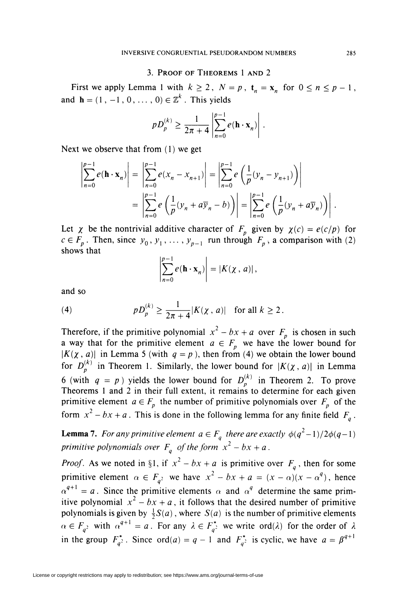## 3. Proof of Theorems 1 and 2

First we apply Lemma 1 with  $k \ge 2$ ,  $N = p$ ,  $t_n = x_n$  for  $0 \le n \le p - 1$ , and  $\mathbf{h} = (1, -1, 0, \dots, 0) \in \mathbb{Z}^k$ . This yields

$$
pD_p^{(k)} \ge \frac{1}{2\pi + 4} \left| \sum_{n=0}^{p-1} e(\mathbf{h} \cdot \mathbf{x}_n) \right|.
$$

Next we observe that from  $(1)$  we get

$$
\sum_{n=0}^{p-1} e(\mathbf{h} \cdot \mathbf{x}_n) \Bigg| = \left| \sum_{n=0}^{p-1} e(x_n - x_{n+1}) \right| = \left| \sum_{n=0}^{p-1} e\left(\frac{1}{p}(y_n - y_{n+1})\right) \right|
$$
  
= 
$$
\left| \sum_{n=0}^{p-1} e\left(\frac{1}{p}(y_n + a\overline{y}_n - b)\right) \right| = \left| \sum_{n=0}^{p-1} e\left(\frac{1}{p}(y_n + a\overline{y}_n)\right) \right|.
$$

Let  $\chi$  be the nontrivial additive character of  $F_p$  given by  $\chi(c) = e(c/p)$  for  $c \in F_p$ . Then, since  $y_0, y_1, \ldots, y_{p-1}$  run through  $F_p$ , a comparison with (2) shows that

$$
\left|\sum_{n=0}^{p-1} e(\mathbf{h} \cdot \mathbf{x}_n)\right| = |K(\chi, a)|,
$$

and so

(4) 
$$
pD_p^{(k)} \ge \frac{1}{2\pi + 4}|K(\chi, a)|
$$
 for all  $k \ge 2$ .

Therefore, if the primitive polynomial  $x^2 - bx + a$  over  $F_n$  is chosen in such a way that for the primitive element  $a \in F$ , we have the lower bound for  $\vert K(\chi, a)\vert$  in Lemma 5 (with  $q = p$ ), then from (4) we obtain the lower bound for  $D_p^{(k)}$  in Theorem 1. Similarly, the lower bound for  $\vert K(\chi, a)\vert$  in Lemma 6 (with  $q = p$ ) yields the lower bound for  $D_p^{(k)}$  in Theorem 2. To prove Theorems 1 and 2 in their full extent, it remains to determine for each given primitive element  $a \in F_p$  the number of primitive polynomials over  $F_p$  of the form  $x^2 - bx + a$ . This is done in the following lemma for any finite field  $F_a$ .

**Lemma 7.** For any primitive element  $a \in F_a$  there are exactly  $\phi(q^2-1)/2\phi(q-1)$ primitive polynomials over  $F_q$  of the form  $x^2 - bx + a$ .

*Proof.* As we noted in §1, if  $x^2 - bx + a$  is primitive over  $F_q$ , then for some primitive element  $\alpha \in F_{q^2}$  we have  $x^2 - bx + a = (x - \alpha)(x - \alpha^q)$ , hence  $\alpha^{q+1} = a$ . Since the primitive elements  $\alpha$  and  $\alpha^q$  determine the same primitive polynomial  $x^2 - bx + a$ , it follows that the desired number of primitive polynomials is given by  $\frac{1}{2}S(a)$ , where  $S(a)$  is the number of primitive elements  $\alpha \in F_{q^2}$  with  $\alpha^{q+1} = a$ . For any  $\lambda \in F_{q^2}^*$  we write ord( $\lambda$ ) for the order of  $\lambda$ in the group  $F_{a^2}^*$ . Since ord(a) =  $q - 1$  and  $F_{a^2}^*$  is cyclic, we have  $a = \beta^{q+1}$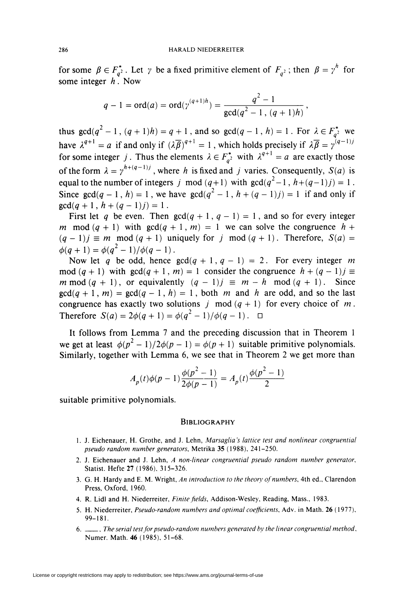for some  $\beta \in F_{q^2}^*$ . Let  $\gamma$  be a fixed primitive element of  $F_{q^2}$ ; then  $\beta = \gamma^h$  for some integer  $h$ . Now

$$
q-1 = \text{ord}(a) = \text{ord}(\gamma^{(q+1)h}) = \frac{q^2 - 1}{\gcd(q^2 - 1, (q+1)h)}
$$

thus  $gcd(q^2 - 1, (q + 1)h) = q + 1$ , and so  $gcd(q - 1, h) = 1$ . For  $\lambda \in F_{q^2}^*$  we have  $\lambda^{q+1} = a$  if and only if  $(\lambda \overline{\beta})^{q+1} = 1$ , which holds precisely if  $\lambda \overline{\beta} = \gamma^{(q-1)j}$ for some integer j. Thus the elements  $\lambda \in F_{a}^*$  with  $\lambda^{q+1} = a$  are exactly those of the form  $\lambda = \gamma^{h+(q-1)j}$ , where h is fixed and j varies. Consequently,  $S(a)$  is equal to the number of integers j mod  $(q+1)$  with  $gcd(q^2-1, h+(q-1)j) = 1$ . Since  $gcd(q-1, h) = 1$ , we have  $gcd(q^2 - 1, h + (q - 1)j) = 1$  if and only if  $gcd(q + 1, h + (q - 1)j) = 1.$ 

First let q be even. Then  $gcd(q + 1, q - 1) = 1$ , and so for every integer m mod  $(q + 1)$  with  $gcd(q + 1, m) = 1$  we can solve the congruence  $h +$  $(q - 1)j \equiv m \mod (q + 1)$  uniquely for j mod  $(q + 1)$ . Therefore,  $S(a) =$  $\phi(q+1) = \phi(q^2-1)/\phi(q-1)$ .

Now let q be odd, hence  $gcd(q + 1, q - 1) = 2$ . For every integer m mod  $(q + 1)$  with  $gcd(q + 1, m) = 1$  consider the congruence  $h + (q - 1)j \equiv$ m mod  $(q + 1)$ , or equivalently  $(q - 1)j \equiv m - h \mod (q + 1)$ . Since  $gcd(q + 1, m) = gcd(q - 1, h) = 1$ , both m and h are odd, and so the last congruence has exactly two solutions j mod  $(q + 1)$  for every choice of m. Therefore  $S(a) = 2\phi(q + 1) = \phi(q^2 - 1)/\phi(q - 1)$ .  $\Box$ 

It follows from Lemma 7 and the preceding discussion that in Theorem 1 we get at least  $\phi(p^2 - 1)/2\phi(p - 1) = \phi(p + 1)$  suitable primitive polynomials. Similarly, together with Lemma 6, we see that in Theorem 2 we get more than

$$
A_p(t)\phi(p-1)\frac{\phi(p^2-1)}{2\phi(p-1)} = A_p(t)\frac{\phi(p^2-1)}{2}
$$

suitable primitive polynomials.

#### **BIBLIOGRAPHY**

- 1. J. Eichenauer, H. Grothe, and J. Lehn, Marsaglia's lattice test and nonlinear congruential pseudo random number generators, Metrika 35 (1988), 241-250.
- 2. J. Eichenauer and J. Lehn, A non-linear congruential pseudo random number generator. Statist. Hefte 27 (1986), 315-326.
- 3. G. H. Hardy and E. M. Wright, An introduction to the theory of numbers, 4th ed., Clarendon Press, Oxford, 1960.
- 4. R. Lidl and H. Niederreiter, Finite fields, Addison-Wesley, Reading, Mass., 1983.
- 5. H. Niederreiter, Pseudo-random numbers and optimal coefficients, Adv. in Math. 26 (1977), 99-181.
- 6. \_\_\_, The serial test for pseudo-random numbers generated by the linear congruential method, Numer. Math. 46 (1985), 51-68.